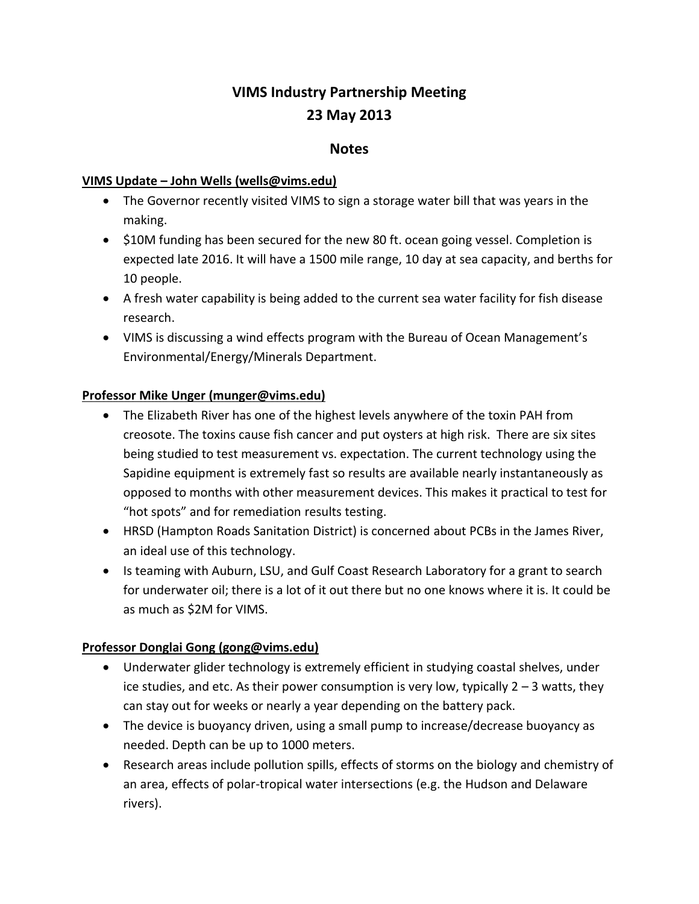# **VIMS Industry Partnership Meeting 23 May 2013**

### **Notes**

#### **VIMS Update – John Wells (wells@vims.edu)**

- The Governor recently visited VIMS to sign a storage water bill that was years in the making.
- S10M funding has been secured for the new 80 ft. ocean going vessel. Completion is expected late 2016. It will have a 1500 mile range, 10 day at sea capacity, and berths for 10 people.
- A fresh water capability is being added to the current sea water facility for fish disease research.
- VIMS is discussing a wind effects program with the Bureau of Ocean Management's Environmental/Energy/Minerals Department.

#### **Professor Mike Unger (munger@vims.edu)**

- The Elizabeth River has one of the highest levels anywhere of the toxin PAH from creosote. The toxins cause fish cancer and put oysters at high risk. There are six sites being studied to test measurement vs. expectation. The current technology using the Sapidine equipment is extremely fast so results are available nearly instantaneously as opposed to months with other measurement devices. This makes it practical to test for "hot spots" and for remediation results testing.
- HRSD (Hampton Roads Sanitation District) is concerned about PCBs in the James River, an ideal use of this technology.
- Is teaming with Auburn, LSU, and Gulf Coast Research Laboratory for a grant to search for underwater oil; there is a lot of it out there but no one knows where it is. It could be as much as \$2M for VIMS.

#### **Professor Donglai Gong (gong@vims.edu)**

- Underwater glider technology is extremely efficient in studying coastal shelves, under ice studies, and etc. As their power consumption is very low, typically  $2 - 3$  watts, they can stay out for weeks or nearly a year depending on the battery pack.
- The device is buoyancy driven, using a small pump to increase/decrease buoyancy as needed. Depth can be up to 1000 meters.
- Research areas include pollution spills, effects of storms on the biology and chemistry of an area, effects of polar-tropical water intersections (e.g. the Hudson and Delaware rivers).